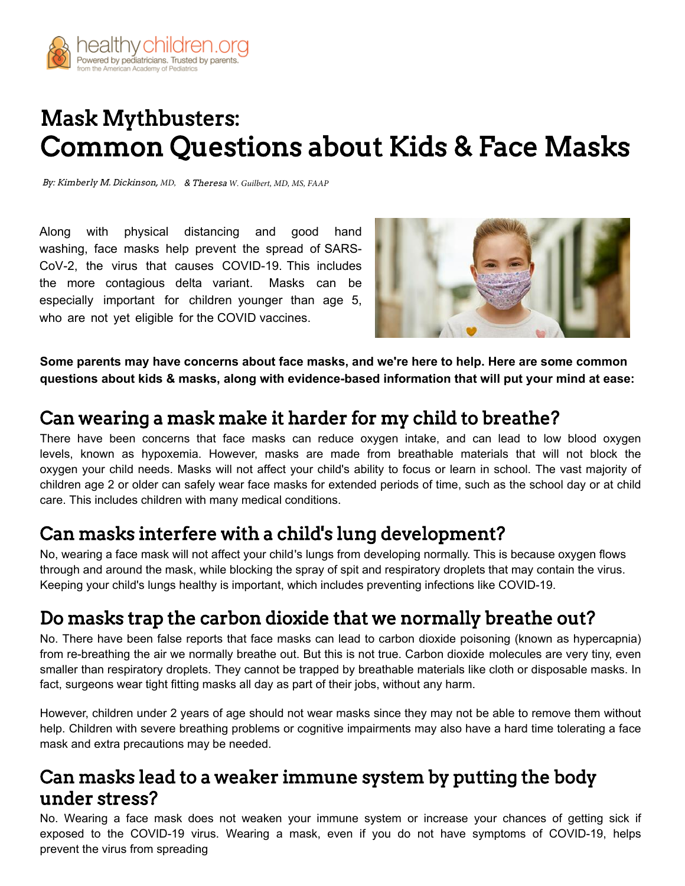

# Mask Mythbusters: Common Questions about Kids & Face Masks

By: Kimberly M. Dickinson, MD, & Theresa W. Guilbert, MD, MS, FAAP

Along with physical distancing and good hand washing, face masks help prevent the spread of SARS-[CoV-2, the virus that causes COVID-19. This in](https://www.healthychildren.org/English/health-issues/conditions/COVID-19/Pages/Cloth-Face-Coverings-for-Children-During-COVID-19.aspx)cludes [the more contagious delta variant. Masks can be](https://www.healthychildren.org/English/health-issues/conditions/COVID-19/Pages/default.aspx)  especially important for children younger than age 5, who are not yet eligible for the COVID vaccines.



**[Some parents may have concerns about face m](https://www.healthychildren.org/English/tips-tools/ask-the-pediatrician/Pages/How-are-COVID-19-variants-like-delta-and-delta-plus-affecting-children.aspx)asks, and we're here to help. Here are some common [questions about kids & masks, along with evidence-based information that will put y](https://www.healthychildren.org/English/tips-tools/ask-the-pediatrician/Pages/when-can-children-get-the-COVID-19-vaccine.aspx)our mind at ease:**

#### Can wearing a mask make it harder for my child to breathe?

There have been concerns that face masks can reduce oxygen intake, and can lead to low blood oxygen levels, known as hypoxemia. However, masks are made from breathable materials that will not block the oxygen your child needs. Masks will not affect your child's ability to focus or learn in school. The vast majority of children age 2 or older can safely wear face masks for extended periods of time, such as the school day or at child care. This includes children with many medical conditions.

## Can masks interfere with a child's lung development?

No, wearing a face mask will not affect your child 's lungs from developing normally. This is because oxygen flows through and around the mask, while blocking the spray of spit and respiratory droplets that may contain the virus. Keeping your child's lungs healthy is important, which includes preventing infections like COVID-19.

## Do masks trap the carbon dioxide that we normally breathe out?

No. There have been false reports that face masks can lead to carbon dioxide poisoning (known as hypercapnia) from re-breathing the air we normally breathe out. But this is not true. Carbon dioxide molecules are very tiny, even smaller than respiratory droplets. They cannot be trapped by breathable materials like cloth or disposable masks. In fact, surgeons wear tight fitting masks all day as part of their jobs, without any harm.

[However, children under 2 years of age should not wear masks since they may not be able to remov](https://www.healthychildren.org/English/tips-tools/ask-the-pediatrician/Pages/How-can-I-help-child-developmental-disability,-cope-COVID-19.aspx)e them without help. Children with severe breathing problems or cognitive impairments may also have a hard time tolerating a face mask and extra precautions may be needed.

## Can masks lead to a weaker immune system by putting the body under stress?

No. Wearing a face mask does not weaken your immune system or increase your chances of getting sick if exposed to the COVID-19 virus. Wearing a mask, even if you do not have symptoms of COVID-19, helps prevent the virus from spreading